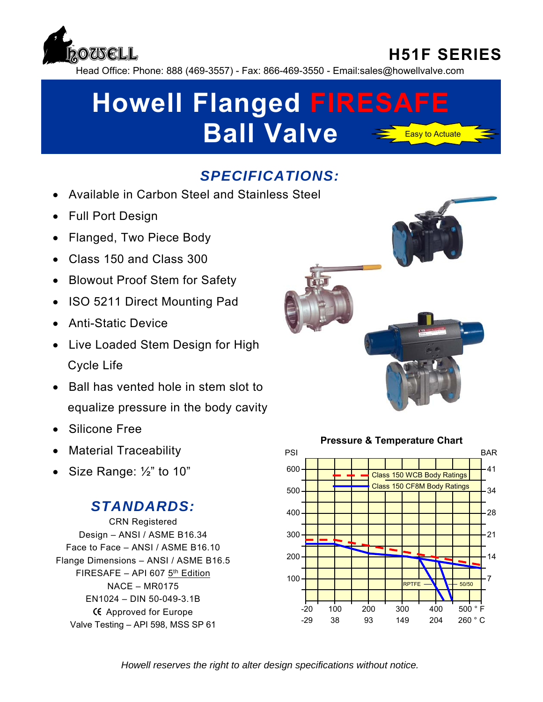

### **H51F SERIES**

Head Office: Phone: 888 (469-3557) - Fax: 866-469-3550 - Email:sales@howellvalve.com

# **Howell Flanged FIRESAFE Ball Valve** Easy to Actuate

#### *SPECIFICATIONS:*

- Available in Carbon Steel and Stainless Steel
- Full Port Design
- Flanged, Two Piece Body
- Class 150 and Class 300
- Blowout Proof Stem for Safety
- ISO 5211 Direct Mounting Pad
- Anti-Static Device
- Live Loaded Stem Design for High Cycle Life
- Ball has vented hole in stem slot to equalize pressure in the body cavity
- Silicone Free
- Material Traceability
- Size Range:  $\frac{1}{2}$ " to 10"

#### *STANDARDS:*

CRN Registered Design – ANSI / ASME B16.34 Face to Face – ANSI / ASME B16.10 Flange Dimensions – ANSI / ASME B16.5 FIRESAFE – API 607 $5<sup>th</sup>$  Edition NACE – MR0175 EN1024 – DIN 50-049-3.1B **KE** Approved for Europe Valve Testing – API 598, MSS SP 61





*Howell reserves the right to alter design specifications without notice.*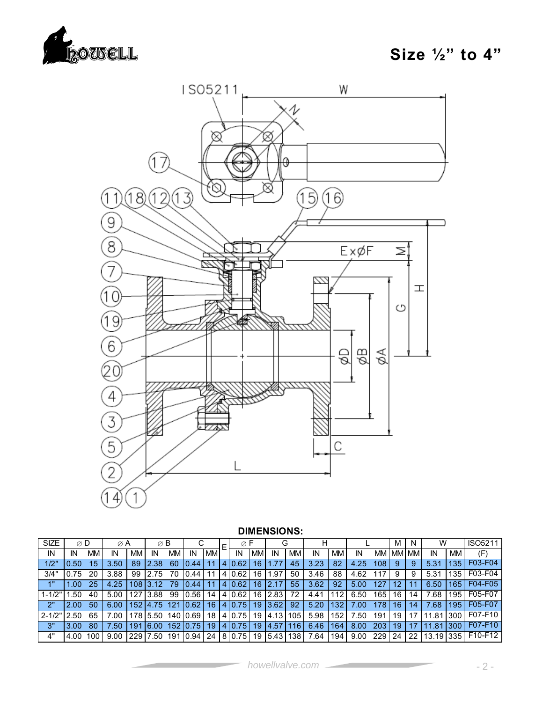



#### **DIMENSIONS:**

| <b>SIZE</b> | $\varnothing$ D |           | $\varnothing$ A |     | $\varnothing$ B |                  |       |    |   | Ø      |           | G    |     | н    |     |      |           | м  | N            | W         |           | <b>ISO5211</b> |
|-------------|-----------------|-----------|-----------------|-----|-----------------|------------------|-------|----|---|--------|-----------|------|-----|------|-----|------|-----------|----|--------------|-----------|-----------|----------------|
| IN          | ΙN              | <b>MM</b> | ΙN              | МM  | ΙN              | <b>MM</b>        | IN    | MМ |   | IN     | <b>MM</b> | IN   | MМ  | IN   | MM. | ΙN   | <b>MM</b> |    | <b>MM MM</b> | IN        | <b>MM</b> | $(\mathsf{F})$ |
| 1/2"        | ).50            | 15        | 3.50            | 89  | 2.38            | 60               | 0.44  |    |   | 0.62   | 16        |      | 45  | 3.23 | 82  | 4.25 | 108       |    | 9            | 5.31      | 135       | F03-F04        |
| 3/4"        | .75             | 20        | 3.88            | 99  | 2.75            | 70               | 0.44  |    | 4 | 0.62   | 16        | .97  | 50  | 3.46 | 88  | 4.62 | 117       | 9  | 9            | 5.31      | 135       | F03-F04        |
| 4"          | .00             | 25        | 4.25            | '08 |                 | 79               | .44   |    |   | 0.62   | 16        | 2.1  | 55  | 3.62 | 92  | 5.00 |           |    |              | 6.50      | 165       | F04-F05        |
| $1 - 1/2"$  | .50             | 40        | 5.00            | 127 | 3.88            | 99               | 0.56  | 14 | 4 | 0.62   | 16        | 2.83 | 72  | 4.41 | 112 | 6.50 | 165       | 16 | 14           | 68.'      | 195       | F05-F07        |
| 2"          | 2.00            | 50        | 6.00            | 152 | 4.75            | 121              | 0.62  | 16 | 4 | 0.75   | 19        | 3.62 | 92  | 5.20 | 132 | .00  | 78        | 16 | 14           | .68       | 195       | F05-F07        |
| $2 - 1/2"$  | .50             | 65        | 00.'            | 178 | 5.50            | 140 <sub>1</sub> | 0.69  | 18 |   | 4 0.75 | 19        | 4.13 | 105 | 5.98 | 152 | .50  | 191       | 19 |              | .81       | 300       | F07-F10        |
| 3"          | 3.00            | 80        | .50             | 191 | 6.00            | 152              | 75    | 19 | 4 | 0.75   | 19        | 4.57 | 16  | 6.46 | 164 | 8.00 | 203       | 19 |              | .81       | 300       | $F07-F10$      |
| 4"          | 4.00            | 100       | 9.00            | 229 | .50             | 191              | 10.94 | 24 |   | 8 0.75 | 19        | 5.43 | 38  | 7.64 | 194 | 9.00 | 229       | 24 | 22           | 13.191335 |           | F10-F12        |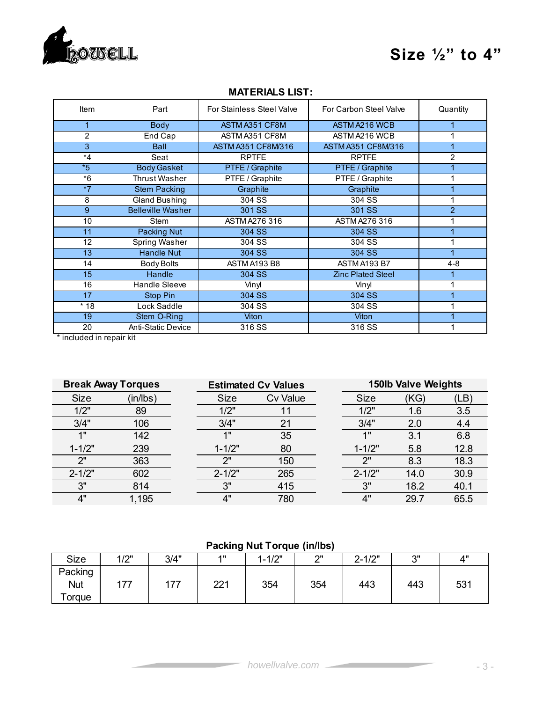

### **Size ½" to 4"**

| Item    | Part                      | For Stainless Steel Valve | For Carbon Steel Valve    | Quantity       |
|---------|---------------------------|---------------------------|---------------------------|----------------|
|         | <b>Body</b>               | ASTM A351 CF8M            | ASTM A216 WCB             |                |
| 2       | End Cap                   | ASTM A351 CF8M            | ASTM A216 WCB             |                |
| 3       | <b>Ball</b>               | <b>ASTM A351 CF8M/316</b> | <b>ASTM A351 CF8M/316</b> |                |
| $*_{4}$ | Seat                      | <b>RPTFE</b>              | <b>RPTFE</b>              | $\overline{2}$ |
| $*5$    | <b>Body Gasket</b>        | PTFE / Graphite           | PTFE / Graphite           |                |
| $*6$    | Thrust Washer             | PTFE / Graphite           | PTFE / Graphite           |                |
| $*7$    | <b>Stem Packing</b>       | Graphite                  | Graphite                  |                |
| 8       | <b>Gland Bushing</b>      | 304 SS                    | 304 SS                    |                |
| 9       | <b>Belleville Washer</b>  | 301 SS                    | 301 SS                    | $\overline{2}$ |
| 10      | Stem                      | ASTM A276 316             | <b>ASTM A276 316</b>      |                |
| 11      | Packing Nut               | 304 SS                    | 304 SS                    |                |
| 12      | <b>Spring Washer</b>      | 304 SS                    | 304 SS                    |                |
| 13      | <b>Handle Nut</b>         | 304 SS                    | 304 SS                    |                |
| 14      | <b>Body Bolts</b>         | ASTM A193 B8              | ASTM A193 B7              | $4 - 8$        |
| 15      | Handle                    | 304 SS                    | <b>Zinc Plated Steel</b>  |                |
| 16      | Handle Sleeve             | Vinyl                     | Vinyl                     |                |
| 17      | Stop Pin                  | 304 SS                    | 304 SS                    |                |
| $*18$   | Lock Saddle               | 304 SS                    | 304 SS                    |                |
| 19      | Stem O-Ring               | Viton                     | Viton                     |                |
| 20      | <b>Anti-Static Device</b> | 316 SS                    | 316 SS                    |                |

#### **MATERIALS LIST:**

\* included in repair kit

|             | <b>Break Away Torques</b> |             | <b>Estimated Cv Values</b> | <b>150lb Valve Weights</b> |      |      |  |  |  |  |
|-------------|---------------------------|-------------|----------------------------|----------------------------|------|------|--|--|--|--|
| <b>Size</b> | (in/lbs)                  | <b>Size</b> | <b>Cv Value</b>            | <b>Size</b>                | (KG) | (LB) |  |  |  |  |
| 1/2"        | 89                        | 1/2"        |                            | 1/2"                       | 1.6  | 3.5  |  |  |  |  |
| 3/4"        | 106                       | 3/4"        | 21                         | 3/4"                       | 2.0  | 4.4  |  |  |  |  |
| 1"          | 142                       | 4H          | 35                         | 4H                         | 3.1  | 6.8  |  |  |  |  |
| $1 - 1/2"$  | 239                       | $1 - 1/2"$  | 80                         | $1 - 1/2"$                 | 5.8  | 12.8 |  |  |  |  |
| ייר         | 363                       | ייר         | 150                        | ייר                        | 8.3  | 18.3 |  |  |  |  |
| $2 - 1/2"$  | 602                       | $2 - 1/2"$  | 265                        | $2 - 1/2"$                 | 14.0 | 30.9 |  |  |  |  |
| 3"          | 814                       | 3"          | 415                        | 3"                         | 18.2 | 40.1 |  |  |  |  |
| 4"          | 1,195                     | 4"          | 780                        | 4"                         | 29.7 | 65.5 |  |  |  |  |

#### **Packing Nut Torque (in/lbs)**

| <b>Size</b>                     | 11つ"<br>╹╵┻ | 3/4" | 4H        | $-1/2"$<br>4<br>$\overline{ }$ | יור | $2 - 1/2"$ | 2"<br>ີ | 4"  |
|---------------------------------|-------------|------|-----------|--------------------------------|-----|------------|---------|-----|
| Packing<br><b>Nut</b><br>Torque | 77          | 177  | 221<br>∠∠ | 354                            | 354 | 443        | 443     | 531 |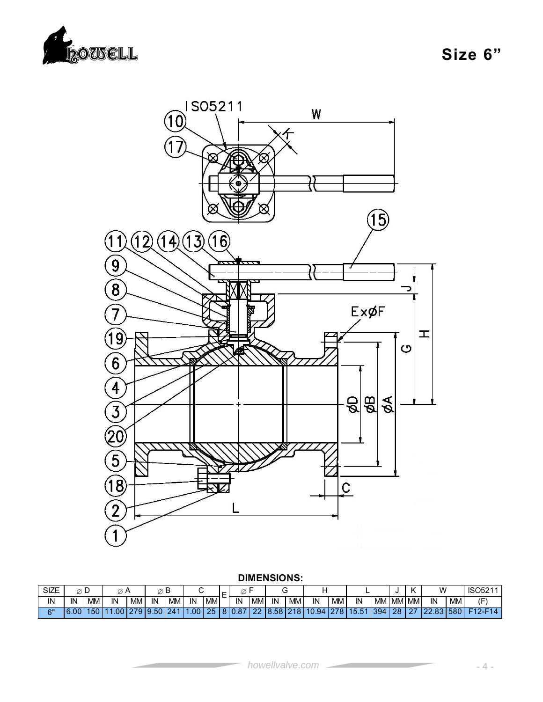

**Size 6"** 



#### **DIMENSIONS:**

| <b>SIZE</b> | ∼                | ◡  | 5 A    |           |     |           |       |                 |     |            |                                      |     |            |           |           |      |            |         | w   |           | <b>ISO521</b>         |
|-------------|------------------|----|--------|-----------|-----|-----------|-------|-----------------|-----|------------|--------------------------------------|-----|------------|-----------|-----------|------|------------|---------|-----|-----------|-----------------------|
| ΙN          | IN               | MМ | IN     | <b>MM</b> | IN  | <b>MM</b> | IN    | MM <sup>'</sup> | IN  | <b>IMN</b> | IN                                   | МM  | IN         | <b>MM</b> | IN        | MM   | `I MM∟     | 'I MM I | IN  | <b>MM</b> | ′⊏`                   |
| 6"          | .00 <sup>T</sup> | юu | $\cap$ |           | .50 | 241       | .00 l | 25              | ,87 | $\sim$     | 58<br>O.<br>$\overline{\phantom{a}}$ | 218 | 0.94<br>10 | 278       | <b>15</b> | 1394 | 28<br>$-1$ |         | o o | 580       | $7 - F$<br><b>E40</b> |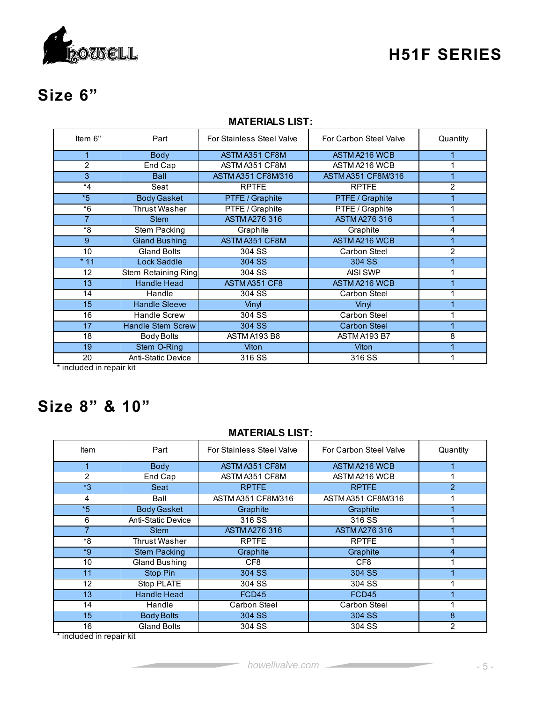

### **H51F SERIES**

# **Size 6"**

|                |                            | .                         |                           |          |
|----------------|----------------------------|---------------------------|---------------------------|----------|
| Item 6"        | Part                       | For Stainless Steel Valve | For Carbon Steel Valve    | Quantity |
|                | <b>Body</b>                | ASTM A351 CF8M            | ASTM A216 WCB             |          |
| $\overline{2}$ | End Cap                    | ASTM A351 CF8M            | ASTM A216 WCB             |          |
| 3              | <b>Ball</b>                | ASTM A351 CF8M/316        | <b>ASTM A351 CF8M/316</b> |          |
| $*_{4}$        | Seat                       | <b>RPTFE</b>              | <b>RPTFE</b>              | 2        |
| $*5$           | <b>Body Gasket</b>         | PTFE / Graphite           | PTFE / Graphite           |          |
| $*6$           | Thrust Washer              | PTFE / Graphite           | PTFE / Graphite           |          |
| $\overline{7}$ | <b>Stem</b>                | <b>ASTM A276 316</b>      | <b>ASTM A276 316</b>      |          |
| *8             | Stem Packing               | Graphite                  | Graphite                  | 4        |
| 9              | <b>Gland Bushing</b>       | ASTM A351 CF8M            | ASTM A216 WCB             |          |
| 10             | <b>Gland Bolts</b>         | 304 SS                    | Carbon Steel              | 2        |
| $*11$          | <b>Lock Saddle</b>         | 304 SS                    | 304 SS                    |          |
| 12             | <b>Stem Retaining Ring</b> | 304 SS                    | AISI SWP                  |          |
| 13             | <b>Handle Head</b>         | ASTM A351 CF8             | ASTM A216 WCB             |          |
| 14             | Handle                     | 304 SS                    | Carbon Steel              |          |
| 15             | <b>Handle Sleeve</b>       | Vinyl                     | Vinyl                     |          |
| 16             | <b>Handle Screw</b>        | 304 SS                    | Carbon Steel              |          |
| 17             | <b>Handle Stem Screw</b>   | 304 SS                    | <b>Carbon Steel</b>       |          |
| 18             | Body Bolts                 | ASTM A193 B8              | ASTM A193 B7              | 8        |
| 19             | Stem O-Ring                | Viton                     | Viton                     |          |

#### **MATERIALS LIST:**

\* included in repair kit

# **Size 8" & 10"**

#### **MATERIALS LIST:**

19 Stem O-Ring Viton Viton Viton 1<br>19 Anti-Static Device 316 SS 316 SS 1

Anti-Static Device 316 SS 316 SS 316 SS 316 SS 316 SS 316 SS

| <b>Item</b> | Part                      | For Stainless Steel Valve | For Carbon Steel Valve | Quantity      |
|-------------|---------------------------|---------------------------|------------------------|---------------|
|             | <b>Body</b>               | ASTM A351 CF8M            | ASTM A216 WCB          |               |
| 2           | End Cap                   | ASTM A351 CF8M            | ASTM A216 WCB          |               |
| $*_{3}$     | Seat                      | <b>RPTFE</b>              | <b>RPTFE</b>           | $\mathcal{P}$ |
| 4           | Ball                      | ASTM A351 CF8M/316        | ASTM A351 CF8M/316     |               |
| $*5$        | <b>Body Gasket</b>        | Graphite                  | Graphite               |               |
| 6           | <b>Anti-Static Device</b> | 316 SS                    | 316 SS                 |               |
|             | <b>Stem</b>               | <b>ASTM A276 316</b>      | <b>ASTM A276 316</b>   |               |
| *8          | Thrust Washer             | <b>RPTFE</b>              | <b>RPTFE</b>           |               |
| $*9$        | <b>Stem Packing</b>       | Graphite                  | Graphite               | 4             |
| 10          | Gland Bushing             | CF <sub>8</sub>           | CF <sub>8</sub>        |               |
| 11          | Stop Pin                  | 304 SS                    | 304 SS                 |               |
| 12          | Stop PLATE                | 304 SS                    | 304 SS                 |               |
| 13          | <b>Handle Head</b>        | <b>FCD45</b>              | FCD45                  |               |
| 14          | Handle                    | Carbon Steel              | Carbon Steel           |               |
| 15          | <b>Body Bolts</b>         | 304 SS                    | 304 SS                 | 8             |
| 16          | <b>Gland Bolts</b>        | 304 SS                    | 304 SS                 | 2             |

\* included in repair kit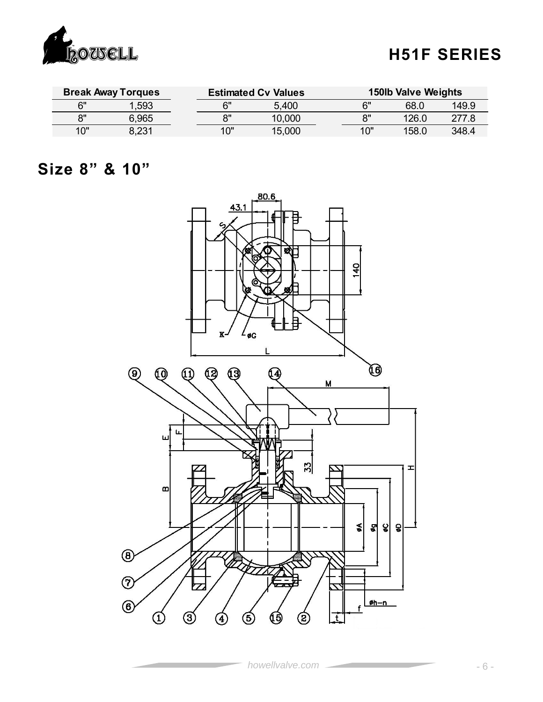

## **H51F SERIES**

|            | <b>Break Away Torques</b> |     | <b>Estimated Cv Values</b> | <b>150lb Valve Weights</b> |       |       |  |  |  |
|------------|---------------------------|-----|----------------------------|----------------------------|-------|-------|--|--|--|
| ี ผ"       | .593                      | ና"  | 5,400                      | 6"                         | 68.0  | 149.9 |  |  |  |
| $^{\circ}$ | 6,965                     | יא  | 10,000                     | 8"                         | 126.0 | 277.8 |  |  |  |
| 10"        | 8.231                     | 10" | 15,000                     | 10"                        | 158.0 | 348.4 |  |  |  |

### **Size 8" & 10"**